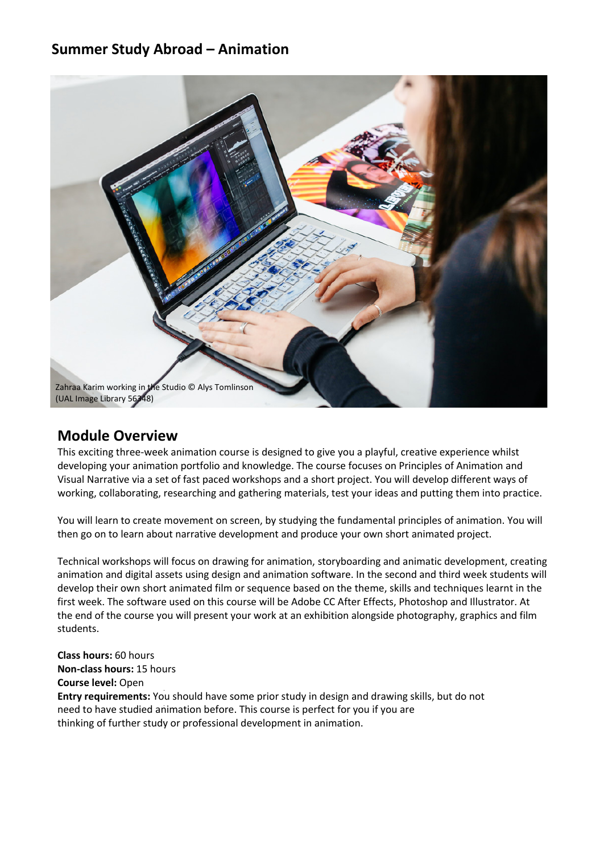#### **Summer Study Abroad – Animation**



#### **Module Overview**

This exciting three-week animation course is designed to give you a playful, creative experience whilst developing your animation portfolio and knowledge. The course focuses on Principles of Animation and Visual Narrative via a set of fast paced workshops and a short project. You will develop different ways of working, collaborating, researching and gathering materials, test your ideas and putting them into practice.

You will learn to create movement on screen, by studying the fundamental principles of animation. You will then go on to learn about narrative development and produce your own short animated project.

Technical workshops will focus on drawing for animation, storyboarding and animatic development, creating animation and digital assets using design and animation software. In the second and third week students will develop their own short animated film or sequence based on the theme, skills and techniques learnt in the first week. The software used on this course will be Adobe CC After Effects, Photoshop and Illustrator. At the end of the course you will present your work at an exhibition alongside photography, graphics and film students.

**Class hours:** 60 hours **Non-class hours:** 15 hours **Course level:** Open **Entry requirements:** You should have some prior study in design and drawing skills, but do not need to have studied animation before. This course is perfect for you if you are thinking of further study or professional development in animation.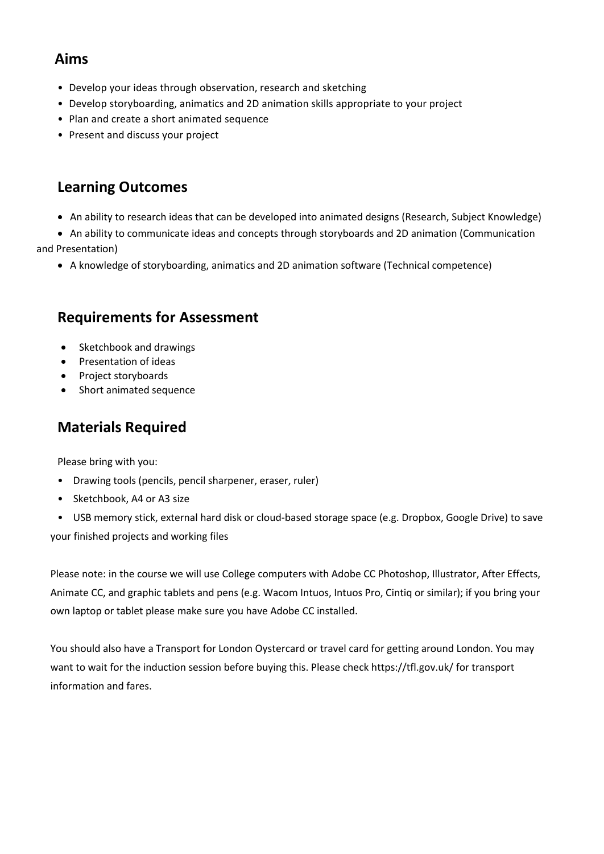### **Aims**

- Develop your ideas through observation, research and sketching
- Develop storyboarding, animatics and 2D animation skills appropriate to your project
- Plan and create a short animated sequence
- Present and discuss your project

# **Learning Outcomes**

- An ability to research ideas that can be developed into animated designs (Research, Subject Knowledge)
- An ability to communicate ideas and concepts through storyboards and 2D animation (Communication

and Presentation)

• A knowledge of storyboarding, animatics and 2D animation software (Technical competence)

# **Requirements for Assessment**

- Sketchbook and drawings
- Presentation of ideas
- Project storyboards
- Short animated sequence

# **Materials Required**

Please bring with you:

- Drawing tools (pencils, pencil sharpener, eraser, ruler)
- Sketchbook, A4 or A3 size
- USB memory stick, external hard disk or cloud-based storage space (e.g. Dropbox, Google Drive) to save

your finished projects and working files

 Animate CC, and graphic tablets and pens (e.g. Wacom Intuos, Intuos Pro, Cintiq or similar); if you bring your Please note: in the course we will use College computers with Adobe CC Photoshop, Illustrator, After Effects, own laptop or tablet please make sure you have Adobe CC installed.

 want to wait for the induction session before buying this. Please check https://tfl.gov.uk/ for transport You should also have a Transport for London Oystercard or travel card for getting around London. You may information and fares.